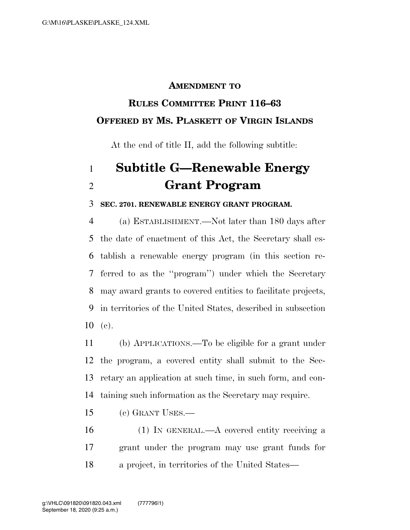### **AMENDMENT TO**

### **RULES COMMITTEE PRINT 116–63 OFFERED BY MS. PLASKETT OF VIRGIN ISLANDS**

At the end of title II, add the following subtitle:

# **Subtitle G—Renewable Energy Grant Program**

#### **SEC. 2701. RENEWABLE ENERGY GRANT PROGRAM.**

 (a) ESTABLISHMENT.—Not later than 180 days after the date of enactment of this Act, the Secretary shall es- tablish a renewable energy program (in this section re- ferred to as the ''program'') under which the Secretary may award grants to covered entities to facilitate projects, in territories of the United States, described in subsection (c).

 (b) APPLICATIONS.—To be eligible for a grant under the program, a covered entity shall submit to the Sec- retary an application at such time, in such form, and con-taining such information as the Secretary may require.

(c) GRANT USES.—

 (1) IN GENERAL.—A covered entity receiving a grant under the program may use grant funds for a project, in territories of the United States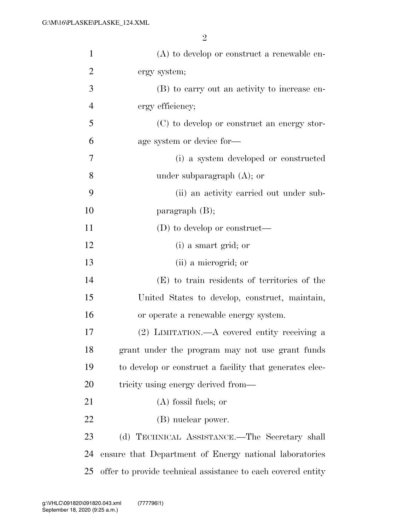| $\mathbf{1}$   | $(A)$ to develop or construct a renewable en-                |
|----------------|--------------------------------------------------------------|
| $\overline{2}$ | ergy system;                                                 |
| 3              | (B) to carry out an activity to increase en-                 |
| $\overline{4}$ | ergy efficiency;                                             |
| 5              | (C) to develop or construct an energy stor-                  |
| 6              | age system or device for-                                    |
| 7              | (i) a system developed or constructed                        |
| 8              | under subparagraph $(A)$ ; or                                |
| 9              | (ii) an activity carried out under sub-                      |
| 10             | paragraph $(B)$ ;                                            |
| 11             | $(D)$ to develop or construct—                               |
| 12             | (i) a smart grid; or                                         |
| 13             | (ii) a microgrid; or                                         |
| 14             | (E) to train residents of territories of the                 |
| 15             | United States to develop, construct, maintain,               |
| 16             | or operate a renewable energy system.                        |
| 17             | (2) LIMITATION.—A covered entity receiving a                 |
| 18             | grant under the program may not use grant funds              |
| 19             | to develop or construct a facility that generates elec-      |
| 20             | tricity using energy derived from—                           |
| 21             | $(A)$ fossil fuels; or                                       |
| 22             | (B) nuclear power.                                           |
| 23             | (d) TECHNICAL ASSISTANCE.—The Secretary shall                |
| 24             | ensure that Department of Energy national laboratories       |
| 25             | offer to provide technical assistance to each covered entity |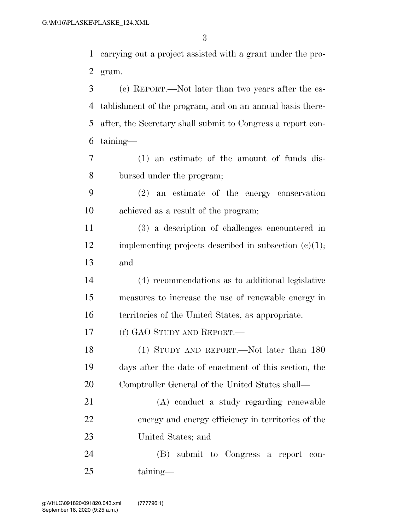carrying out a project assisted with a grant under the pro-gram.

 (e) REPORT.—Not later than two years after the es- tablishment of the program, and on an annual basis there- after, the Secretary shall submit to Congress a report con-taining—

- (1) an estimate of the amount of funds dis-bursed under the program;
- (2) an estimate of the energy conservation achieved as a result of the program;

 (3) a description of challenges encountered in 12 implementing projects described in subsection  $(c)(1)$ ; and

 (4) recommendations as to additional legislative measures to increase the use of renewable energy in territories of the United States, as appropriate.

(f) GAO STUDY AND REPORT.—

 (1) STUDY AND REPORT.—Not later than 180 days after the date of enactment of this section, the Comptroller General of the United States shall—

 (A) conduct a study regarding renewable energy and energy efficiency in territories of the United States; and

 (B) submit to Congress a report con-taining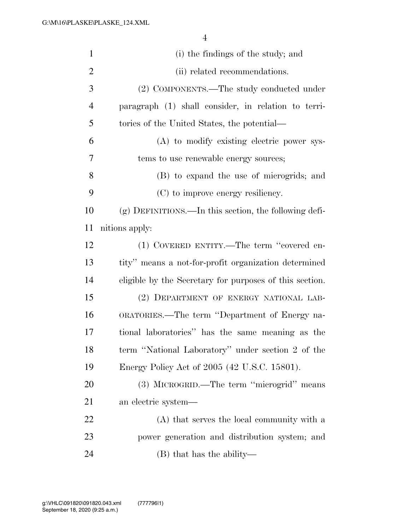| $\mathbf{1}$   | (i) the findings of the study; and                      |
|----------------|---------------------------------------------------------|
| $\overline{2}$ | (ii) related recommendations.                           |
| 3              | (2) COMPONENTS.—The study conducted under               |
| $\overline{4}$ | paragraph (1) shall consider, in relation to terri-     |
| 5              | tories of the United States, the potential—             |
| 6              | (A) to modify existing electric power sys-              |
| 7              | tems to use renewable energy sources;                   |
| 8              | (B) to expand the use of microgrids; and                |
| 9              | (C) to improve energy resiliency.                       |
| 10             | $(g)$ DEFINITIONS.—In this section, the following defi- |
| 11             | nitions apply:                                          |
| 12             | (1) COVERED ENTITY.—The term "covered en-               |
| 13             | tity" means a not-for-profit organization determined    |
| 14             | eligible by the Secretary for purposes of this section. |
| 15             | (2) DEPARTMENT OF ENERGY NATIONAL LAB-                  |
| 16             | ORATORIES.—The term "Department of Energy na-           |
| 17             | tional laboratories" has the same meaning as the        |
| 18             | term "National Laboratory" under section 2 of the       |
| 19             | Energy Policy Act of 2005 (42 U.S.C. 15801).            |
| 20             | (3) MICROGRID.—The term "microgrid" means               |
| 21             | an electric system—                                     |
| 22             | (A) that serves the local community with a              |
| 23             | power generation and distribution system; and           |
| 24             | $(B)$ that has the ability—                             |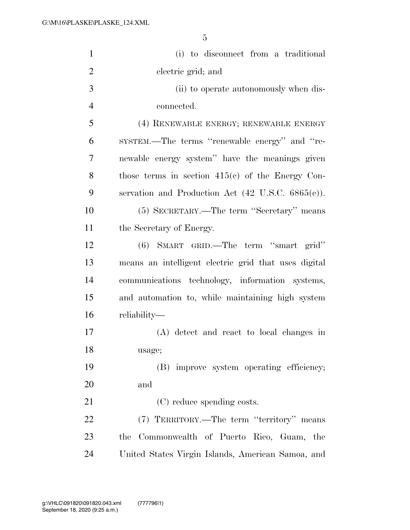| $\mathbf{1}$   | (i) to disconnect from a traditional                          |
|----------------|---------------------------------------------------------------|
| $\overline{2}$ | electric grid; and                                            |
| 3              | (ii) to operate autonomously when dis-                        |
| $\overline{4}$ | connected.                                                    |
| 5              | (4) RENEWABLE ENERGY; RENEWABLE ENERGY                        |
| 6              | SYSTEM.—The terms "renewable energy" and "re-                 |
| 7              | newable energy system" have the meanings given                |
| 8              | those terms in section $415(e)$ of the Energy Con-            |
| 9              | servation and Production Act $(42 \text{ U.S.C. } 6865(c))$ . |
| 10             | (5) SECRETARY.—The term "Secretary" means                     |
| 11             | the Secretary of Energy.                                      |
| 12             | $(6)$ SMART GRID.—The term "smart grid"                       |
| 13             | means an intelligent electric grid that uses digital          |
| 14             | communications technology, information systems,               |
| 15             | and automation to, while maintaining high system              |
| 16             | reliability—                                                  |
| 17             | (A) detect and react to local changes in                      |
| 18             | usage;                                                        |
| 19             | (B) improve system operating efficiency;                      |
| 20             | and                                                           |
| 21             | (C) reduce spending costs.                                    |
| 22             | (7) TERRITORY.—The term "territory" means                     |
| 23             | Commonwealth of Puerto Rico, Guam, the<br>the                 |
| 24             | United States Virgin Islands, American Samoa, and             |